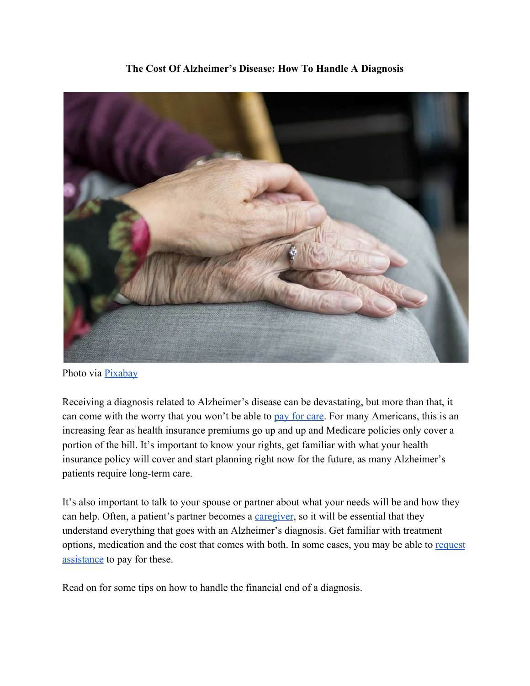

**The Cost Of Alzheimer's Disease: How To Handle A Diagnosis**

Receiving a diagnosis related to Alzheimer's disease can be devastating, but more than that, it can come with the worry that you won't be able to [pay for care](https://money.usnews.com/money/personal-finance/saving-and-budgeting/articles/2018-04-13/6-ways-to-pay-for-long-term-care-if-you-cant-afford-insurance). For many Americans, this is an increasing fear as health insurance premiums go up and up and Medicare policies only cover a portion of the bill. It's important to know your rights, get familiar with what your health insurance policy will cover and start planning right now for the future, as many Alzheimer's patients require long-term care.

It's also important to talk to your spouse or partner about what your needs will be and how they can help. Often, a patient's partner becomes a *[caregiver](https://www.huffingtonpost.com/marie-marley/10-critical-tips-for-alzheimers-caregivers_b_3324076.html)*, so it will be essential that they understand everything that goes with an Alzheimer's diagnosis. Get familiar with treatment options, medication and the cost that comes with both. In some cases, you may be able to [request](https://www.payingforseniorcare.com/alzheimers/financial-assistance.html) [assistance](https://www.payingforseniorcare.com/alzheimers/financial-assistance.html) to pay for these.

Read on for some tips on how to handle the financial end of a diagnosis.

Photo via **[Pixabay](https://pixabay.com/photos/hands-old-old-age-elderly-2906458/)**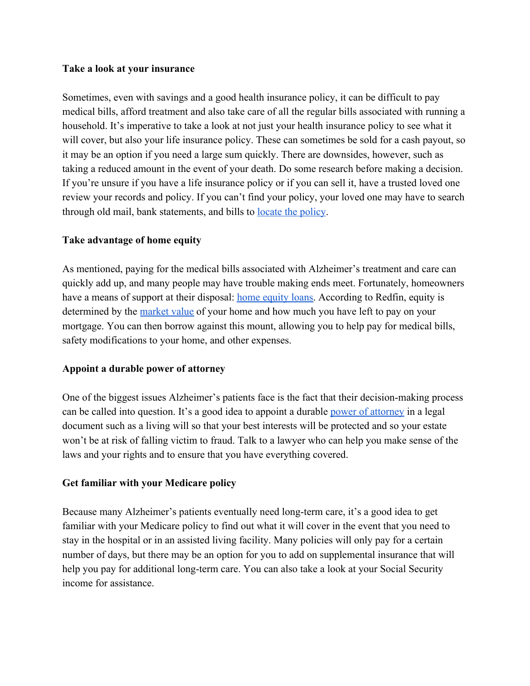## **Take a look at your insurance**

Sometimes, even with savings and a good health insurance policy, it can be difficult to pay medical bills, afford treatment and also take care of all the regular bills associated with running a household. It's imperative to take a look at not just your health insurance policy to see what it will cover, but also your life insurance policy. These can sometimes be sold for a cash payout, so it may be an option if you need a large sum quickly. There are downsides, however, such as taking a reduced amount in the event of your death. Do some research before making a decision. If you're unsure if you have a life insurance policy or if you can sell it, have a trusted loved one review your records and policy. If you can't find your policy, your loved one may have to search through old mail, bank statements, and bills to [locate the policy](https://www.lhlic.com/consumer-resources/how-to-find-out-if-someone-has-life-insurance/).

## **Take advantage of home equity**

As mentioned, paying for the medical bills associated with Alzheimer's treatment and care can quickly add up, and many people may have trouble making ends meet. Fortunately, homeowners have a means of support at their disposal: [home equity loans.](https://www.discover.com/home-equity-loans/article/using-home-equity-for-unexpected-medical-expenses/) According to Redfin, equity is determined by the [market value](https://www.redfin.com/guides/how-to-calculate-home-equity) of your home and how much you have left to pay on your mortgage. You can then borrow against this mount, allowing you to help pay for medical bills, safety modifications to your home, and other expenses.

## **Appoint a durable power of attorney**

One of the biggest issues Alzheimer's patients face is the fact that their decision-making process can be called into question. It's a good idea to appoint a durable [power of attorney](https://www.helpforalzheimersfamilies.com/learn/the-basics/alzheimers-faqs/how-can-i-afford-alzheimers-services/) in a legal document such as a living will so that your best interests will be protected and so your estate won't be at risk of falling victim to fraud. Talk to a lawyer who can help you make sense of the laws and your rights and to ensure that you have everything covered.

## **Get familiar with your Medicare policy**

Because many Alzheimer's patients eventually need long-term care, it's a good idea to get familiar with your Medicare policy to find out what it will cover in the event that you need to stay in the hospital or in an assisted living facility. Many policies will only pay for a certain number of days, but there may be an option for you to add on supplemental insurance that will help you pay for additional long-term care. You can also take a look at your Social Security income for assistance.